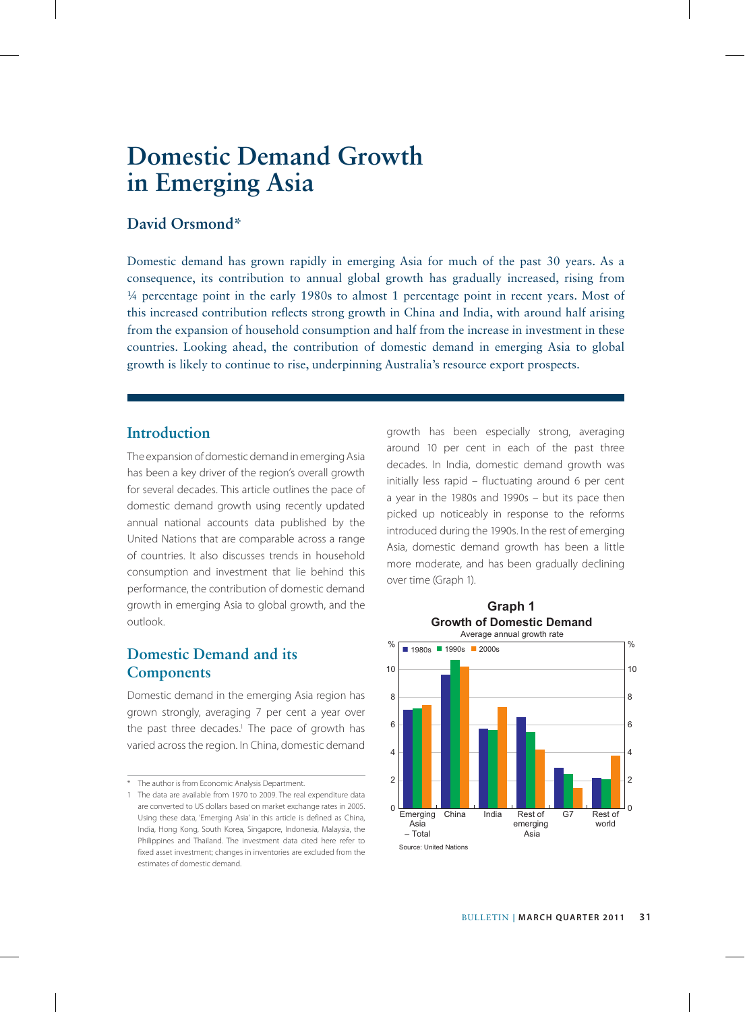# **David Orsmond\***

Domestic demand has grown rapidly in emerging Asia for much of the past 30 years. As a consequence, its contribution to annual global growth has gradually increased, rising from ¼ percentage point in the early 1980s to almost 1 percentage point in recent years. Most of this increased contribution reflects strong growth in China and India, with around half arising from the expansion of household consumption and half from the increase in investment in these countries. Looking ahead, the contribution of domestic demand in emerging Asia to global growth is likely to continue to rise, underpinning Australia's resource export prospects.

### **Introduction**

The expansion of domestic demand in emerging Asia has been a key driver of the region's overall growth for several decades. This article outlines the pace of domestic demand growth using recently updated annual national accounts data published by the United Nations that are comparable across a range of countries. It also discusses trends in household consumption and investment that lie behind this performance, the contribution of domestic demand growth in emerging Asia to global growth, and the outlook.

## **Domestic Demand and its Components**

Domestic demand in the emerging Asia region has grown strongly, averaging 7 per cent a year over the past three decades.<sup>1</sup> The pace of growth has varied across the region. In China, domestic demand

\* The author is from Economic Analysis Department.

growth has been especially strong, averaging around 10 per cent in each of the past three decades. In India, domestic demand growth was initially less rapid – fluctuating around 6 per cent a year in the 1980s and 1990s – but its pace then picked up noticeably in response to the reforms introduced during the 1990s. In the rest of emerging Asia, domestic demand growth has been a little more moderate, and has been gradually declining over time (Graph 1).



<sup>1</sup> The data are available from 1970 to 2009. The real expenditure data are converted to US dollars based on market exchange rates in 2005. Using these data, 'Emerging Asia' in this article is defined as China, India, Hong Kong, South Korea, Singapore, Indonesia, Malaysia, the Philippines and Thailand. The investment data cited here refer to fixed asset investment; changes in inventories are excluded from the estimates of domestic demand.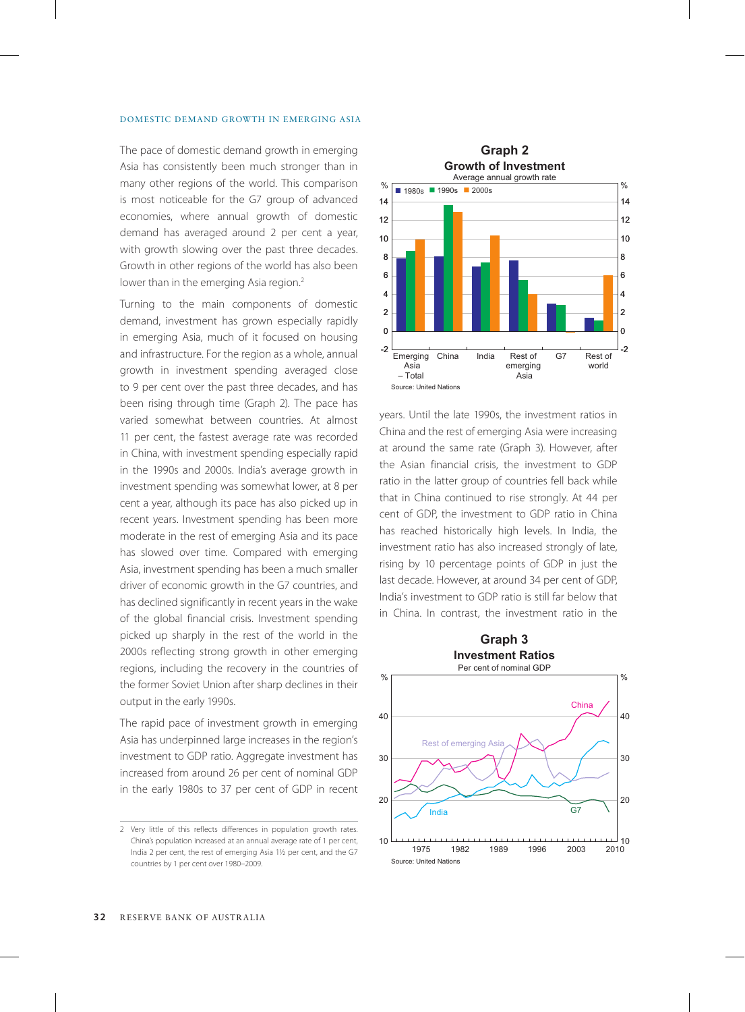The pace of domestic demand growth in emerging Asia has consistently been much stronger than in many other regions of the world. This comparison is most noticeable for the G7 group of advanced economies, where annual growth of domestic demand has averaged around 2 per cent a year, with growth slowing over the past three decades. Growth in other regions of the world has also been lower than in the emerging Asia region.<sup>2</sup>

Turning to the main components of domestic demand, investment has grown especially rapidly in emerging Asia, much of it focused on housing and infrastructure. For the region as a whole, annual growth in investment spending averaged close to 9 per cent over the past three decades, and has been rising through time (Graph 2). The pace has varied somewhat between countries. At almost 11 per cent, the fastest average rate was recorded in China, with investment spending especially rapid in the 1990s and 2000s. India's average growth in investment spending was somewhat lower, at 8 per cent a year, although its pace has also picked up in recent years. Investment spending has been more moderate in the rest of emerging Asia and its pace has slowed over time. Compared with emerging Asia, investment spending has been a much smaller driver of economic growth in the G7 countries, and has declined significantly in recent years in the wake of the global financial crisis. Investment spending picked up sharply in the rest of the world in the 2000s reflecting strong growth in other emerging regions, including the recovery in the countries of the former Soviet Union after sharp declines in their output in the early 1990s.

The rapid pace of investment growth in emerging Asia has underpinned large increases in the region's investment to GDP ratio. Aggregate investment has increased from around 26 per cent of nominal GDP in the early 1980s to 37 per cent of GDP in recent



years. Until the late 1990s, the investment ratios in China and the rest of emerging Asia were increasing at around the same rate (Graph 3). However, after the Asian financial crisis, the investment to GDP ratio in the latter group of countries fell back while that in China continued to rise strongly. At 44 per cent of GDP, the investment to GDP ratio in China has reached historically high levels. In India, the investment ratio has also increased strongly of late, rising by 10 percentage points of GDP in just the last decade. However, at around 34 per cent of GDP, India's investment to GDP ratio is still far below that in China. In contrast, the investment ratio in the



<sup>2</sup> Very little of this reflects differences in population growth rates. China's population increased at an annual average rate of 1 per cent, India 2 per cent, the rest of emerging Asia 11/2 per cent, and the G7 countries by 1 per cent over 1980–2009.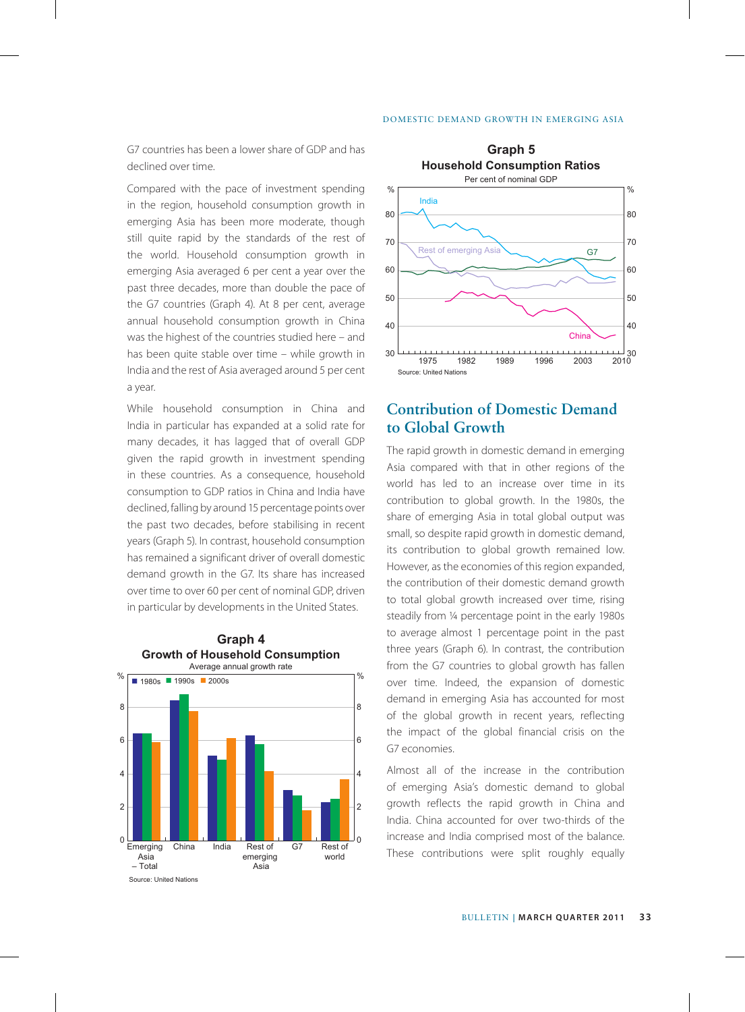G7 countries has been a lower share of GDP and has declined over time.

Compared with the pace of investment spending in the region, household consumption growth in emerging Asia has been more moderate, though still quite rapid by the standards of the rest of the world. Household consumption growth in emerging Asia averaged 6 per cent a year over the past three decades, more than double the pace of the G7 countries (Graph 4). At 8 per cent, average annual household consumption growth in China was the highest of the countries studied here – and has been quite stable over time – while growth in India and the rest of Asia averaged around 5 per cent a year.

While household consumption in China and India in particular has expanded at a solid rate for many decades, it has lagged that of overall GDP given the rapid growth in investment spending in these countries. As a consequence, household consumption to GDP ratios in China and India have declined, falling by around 15 percentage points over the past two decades, before stabilising in recent years (Graph 5). In contrast, household consumption has remained a significant driver of overall domestic demand growth in the G7. Its share has increased over time to over 60 per cent of nominal GDP, driven in particular by developments in the United States.





# **Contribution of Domestic Demand to Global Growth**

The rapid growth in domestic demand in emerging Asia compared with that in other regions of the world has led to an increase over time in its contribution to global growth. In the 1980s, the share of emerging Asia in total global output was small, so despite rapid growth in domestic demand, its contribution to global growth remained low. However, as the economies of this region expanded, the contribution of their domestic demand growth to total global growth increased over time, rising steadily from ¼ percentage point in the early 1980s to average almost 1 percentage point in the past three years (Graph 6). In contrast, the contribution from the G7 countries to global growth has fallen over time. Indeed, the expansion of domestic demand in emerging Asia has accounted for most of the global growth in recent years, reflecting the impact of the global financial crisis on the G7 economies.

Almost all of the increase in the contribution of emerging Asia's domestic demand to global growth reflects the rapid growth in China and India. China accounted for over two-thirds of the increase and India comprised most of the balance. These contributions were split roughly equally